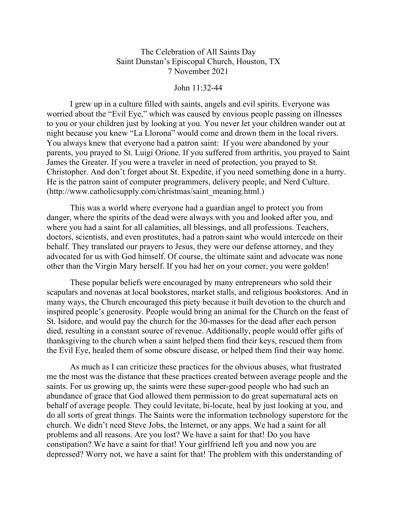## The Celebration of All Saints Day Saint Dunstan's Episcopal Church, Houston, TX 7 November 2021

## John 11:32-44

I grew up in a culture filled with saints, angels and evil spirits. Everyone was worried about the "Evil Eye," which was caused by envious people passing on illnesses to you or your children just by looking at you. You never let your children wander out at night because you knew "La Llorona" would come and drown them in the local rivers. You always knew that everyone had a patron saint: If you were abandoned by your parents, you prayed to St. Luigi Orione. If you suffered from arthritis, you prayed to Saint James the Greater. If you were a traveler in need of protection, you prayed to St. Christopher. And don't forget about St. Expedite, if you need something done in a hurry. He is the patron saint of computer programmers, delivery people, and Nerd Culture. (http://www.catholicsupply.com/christmas/saint\_meaning.html.)

This was a world where everyone had a guardian angel to protect you from danger, where the spirits of the dead were always with you and looked after you, and where you had a saint for all calamities, all blessings, and all professions. Teachers, doctors, scientists, and even prostitutes, had a patron saint who would intercede on their behalf. They translated our prayers to Jesus, they were our defense attorney, and they advocated for us with God himself. Of course, the ultimate saint and advocate was none other than the Virgin Mary herself. If you had her on your corner, you were golden!

These popular beliefs were encouraged by many entrepreneurs who sold their scapulars and novenas at local bookstores, market stalls, and religious bookstores. And in many ways, the Church encouraged this piety because it built devotion to the church and inspired people's generosity. People would bring an animal for the Church on the feast of St. Isidore, and would pay the church for the 30-masses for the dead after each person died, resulting in a constant source of revenue. Additionally, people would offer gifts of thanksgiving to the church when a saint helped them find their keys, rescued them from the Evil Eye, healed them of some obscure disease, or helped them find their way home.

As much as I can criticize these practices for the obvious abuses, what frustrated me the most was the distance that these practices created between average people and the saints. For us growing up, the saints were these super-good people who had such an abundance of grace that God allowed them permission to do great supernatural acts on behalf of average people. They could levitate, bi-locate, heal by just looking at you, and do all sorts of great things. The Saints were the information technology superstore for the church. We didn't need Steve Jobs, the Internet, or any apps. We had a saint for all problems and all reasons. Are you lost? We have a saint for that! Do you have constipation? We have a saint for that! Your girlfriend left you and now you are depressed? Worry not, we have a saint for that! The problem with this understanding of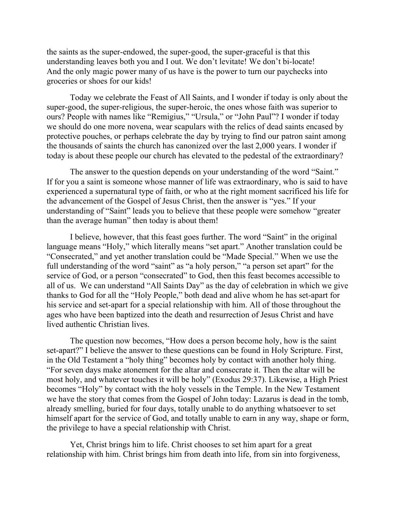the saints as the super-endowed, the super-good, the super-graceful is that this understanding leaves both you and I out. We don't levitate! We don't bi-locate! And the only magic power many of us have is the power to turn our paychecks into groceries or shoes for our kids!

Today we celebrate the Feast of All Saints, and I wonder if today is only about the super-good, the super-religious, the super-heroic, the ones whose faith was superior to ours? People with names like "Remigius," "Ursula," or "John Paul"? I wonder if today we should do one more novena, wear scapulars with the relics of dead saints encased by protective pouches, or perhaps celebrate the day by trying to find our patron saint among the thousands of saints the church has canonized over the last 2,000 years. I wonder if today is about these people our church has elevated to the pedestal of the extraordinary?

The answer to the question depends on your understanding of the word "Saint." If for you a saint is someone whose manner of life was extraordinary, who is said to have experienced a supernatural type of faith, or who at the right moment sacrificed his life for the advancement of the Gospel of Jesus Christ, then the answer is "yes." If your understanding of "Saint" leads you to believe that these people were somehow "greater than the average human" then today is about them!

I believe, however, that this feast goes further. The word "Saint" in the original language means "Holy," which literally means "set apart." Another translation could be "Consecrated," and yet another translation could be "Made Special." When we use the full understanding of the word "saint" as "a holy person," "a person set apart" for the service of God, or a person "consecrated" to God, then this feast becomes accessible to all of us. We can understand "All Saints Day" as the day of celebration in which we give thanks to God for all the "Holy People," both dead and alive whom he has set-apart for his service and set-apart for a special relationship with him. All of those throughout the ages who have been baptized into the death and resurrection of Jesus Christ and have lived authentic Christian lives.

The question now becomes, "How does a person become holy, how is the saint set-apart?" I believe the answer to these questions can be found in Holy Scripture. First, in the Old Testament a "holy thing" becomes holy by contact with another holy thing. "For seven days make atonement for the altar and consecrate it. Then the altar will be most holy, and whatever touches it will be holy" (Exodus 29:37). Likewise, a High Priest becomes "Holy" by contact with the holy vessels in the Temple. In the New Testament we have the story that comes from the Gospel of John today: Lazarus is dead in the tomb, already smelling, buried for four days, totally unable to do anything whatsoever to set himself apart for the service of God, and totally unable to earn in any way, shape or form, the privilege to have a special relationship with Christ.

Yet, Christ brings him to life. Christ chooses to set him apart for a great relationship with him. Christ brings him from death into life, from sin into forgiveness,